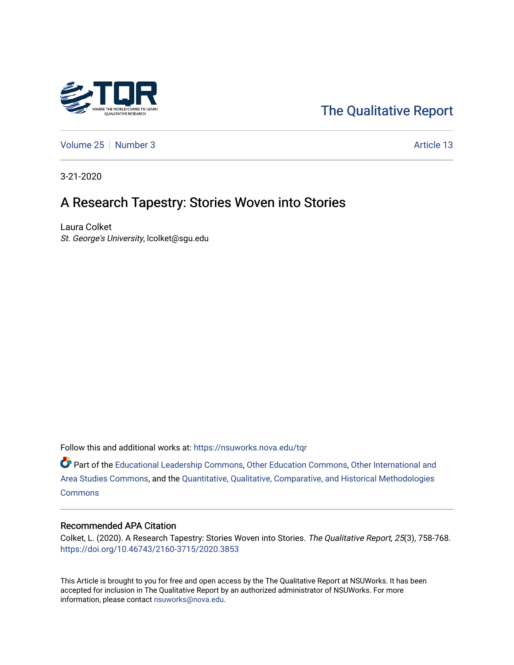

# [The Qualitative Report](https://nsuworks.nova.edu/tqr)

[Volume 25](https://nsuworks.nova.edu/tqr/vol25) [Number 3](https://nsuworks.nova.edu/tqr/vol25/iss3) Article 13

3-21-2020

# A Research Tapestry: Stories Woven into Stories

Laura Colket St. George's University, lcolket@sgu.edu

Follow this and additional works at: [https://nsuworks.nova.edu/tqr](https://nsuworks.nova.edu/tqr?utm_source=nsuworks.nova.edu%2Ftqr%2Fvol25%2Fiss3%2F13&utm_medium=PDF&utm_campaign=PDFCoverPages) 

Part of the [Educational Leadership Commons,](http://network.bepress.com/hgg/discipline/1230?utm_source=nsuworks.nova.edu%2Ftqr%2Fvol25%2Fiss3%2F13&utm_medium=PDF&utm_campaign=PDFCoverPages) [Other Education Commons,](http://network.bepress.com/hgg/discipline/811?utm_source=nsuworks.nova.edu%2Ftqr%2Fvol25%2Fiss3%2F13&utm_medium=PDF&utm_campaign=PDFCoverPages) [Other International and](http://network.bepress.com/hgg/discipline/365?utm_source=nsuworks.nova.edu%2Ftqr%2Fvol25%2Fiss3%2F13&utm_medium=PDF&utm_campaign=PDFCoverPages) [Area Studies Commons,](http://network.bepress.com/hgg/discipline/365?utm_source=nsuworks.nova.edu%2Ftqr%2Fvol25%2Fiss3%2F13&utm_medium=PDF&utm_campaign=PDFCoverPages) and the [Quantitative, Qualitative, Comparative, and Historical Methodologies](http://network.bepress.com/hgg/discipline/423?utm_source=nsuworks.nova.edu%2Ftqr%2Fvol25%2Fiss3%2F13&utm_medium=PDF&utm_campaign=PDFCoverPages)  **[Commons](http://network.bepress.com/hgg/discipline/423?utm_source=nsuworks.nova.edu%2Ftqr%2Fvol25%2Fiss3%2F13&utm_medium=PDF&utm_campaign=PDFCoverPages)** 

#### Recommended APA Citation

Colket, L. (2020). A Research Tapestry: Stories Woven into Stories. The Qualitative Report, 25(3), 758-768. <https://doi.org/10.46743/2160-3715/2020.3853>

This Article is brought to you for free and open access by the The Qualitative Report at NSUWorks. It has been accepted for inclusion in The Qualitative Report by an authorized administrator of NSUWorks. For more information, please contact [nsuworks@nova.edu.](mailto:nsuworks@nova.edu)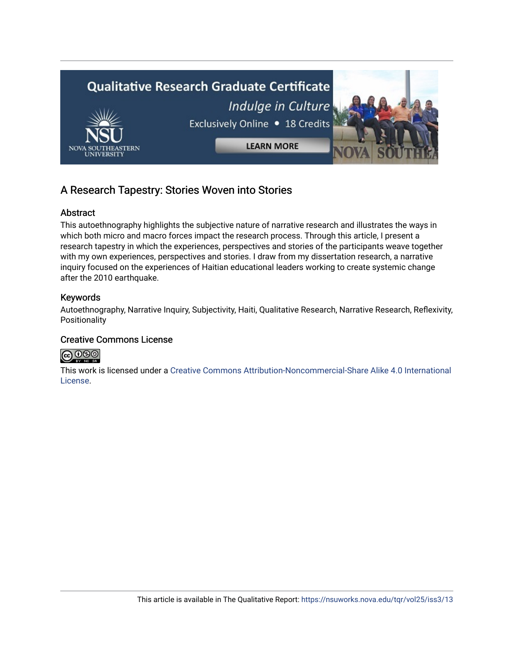

# A Research Tapestry: Stories Woven into Stories

## Abstract

This autoethnography highlights the subjective nature of narrative research and illustrates the ways in which both micro and macro forces impact the research process. Through this article, I present a research tapestry in which the experiences, perspectives and stories of the participants weave together with my own experiences, perspectives and stories. I draw from my dissertation research, a narrative inquiry focused on the experiences of Haitian educational leaders working to create systemic change after the 2010 earthquake.

## Keywords

Autoethnography, Narrative Inquiry, Subjectivity, Haiti, Qualitative Research, Narrative Research, Reflexivity, Positionality

## Creative Commons License



This work is licensed under a [Creative Commons Attribution-Noncommercial-Share Alike 4.0 International](https://creativecommons.org/licenses/by-nc-sa/4.0/)  [License](https://creativecommons.org/licenses/by-nc-sa/4.0/).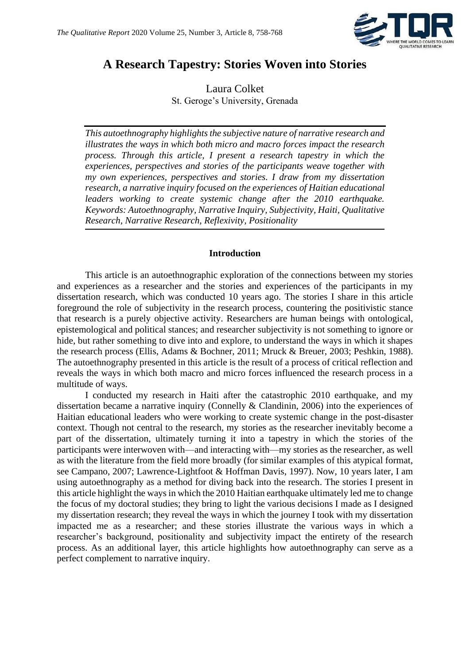

# **A Research Tapestry: Stories Woven into Stories**

Laura Colket St. Geroge's University, Grenada

*This autoethnography highlights the subjective nature of narrative research and illustrates the ways in which both micro and macro forces impact the research process. Through this article, I present a research tapestry in which the experiences, perspectives and stories of the participants weave together with my own experiences, perspectives and stories. I draw from my dissertation research, a narrative inquiry focused on the experiences of Haitian educational leaders working to create systemic change after the 2010 earthquake. Keywords: Autoethnography, Narrative Inquiry, Subjectivity, Haiti, Qualitative Research, Narrative Research, Reflexivity, Positionality*

#### **Introduction**

This article is an autoethnographic exploration of the connections between my stories and experiences as a researcher and the stories and experiences of the participants in my dissertation research, which was conducted 10 years ago. The stories I share in this article foreground the role of subjectivity in the research process, countering the positivistic stance that research is a purely objective activity. Researchers are human beings with ontological, epistemological and political stances; and researcher subjectivity is not something to ignore or hide, but rather something to dive into and explore, to understand the ways in which it shapes the research process (Ellis, Adams & Bochner, 2011; Mruck & Breuer, 2003; Peshkin, 1988). The autoethnography presented in this article is the result of a process of critical reflection and reveals the ways in which both macro and micro forces influenced the research process in a multitude of ways.

I conducted my research in Haiti after the catastrophic 2010 earthquake, and my dissertation became a narrative inquiry (Connelly & Clandinin, 2006) into the experiences of Haitian educational leaders who were working to create systemic change in the post-disaster context. Though not central to the research, my stories as the researcher inevitably become a part of the dissertation, ultimately turning it into a tapestry in which the stories of the participants were interwoven with—and interacting with—my stories as the researcher, as well as with the literature from the field more broadly (for similar examples of this atypical format, see Campano, 2007; Lawrence-Lightfoot & Hoffman Davis, 1997). Now, 10 years later, I am using autoethnography as a method for diving back into the research. The stories I present in this article highlight the ways in which the 2010 Haitian earthquake ultimately led me to change the focus of my doctoral studies; they bring to light the various decisions I made as I designed my dissertation research; they reveal the ways in which the journey I took with my dissertation impacted me as a researcher; and these stories illustrate the various ways in which a researcher's background, positionality and subjectivity impact the entirety of the research process. As an additional layer, this article highlights how autoethnography can serve as a perfect complement to narrative inquiry.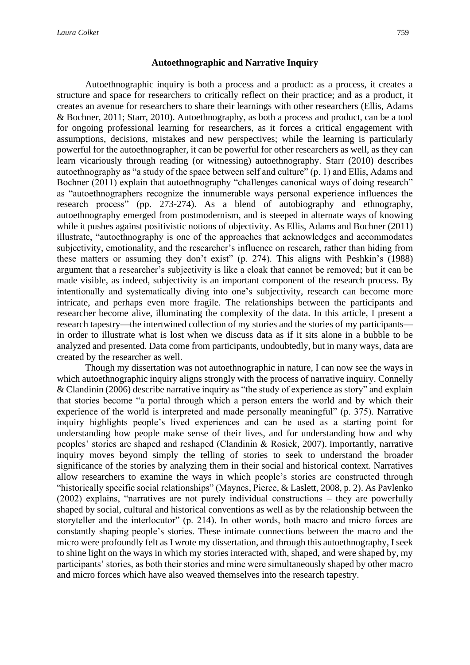Autoethnographic inquiry is both a process and a product: as a process, it creates a structure and space for researchers to critically reflect on their practice; and as a product, it creates an avenue for researchers to share their learnings with other researchers (Ellis, Adams & Bochner, 2011; Starr, 2010). Autoethnography, as both a process and product, can be a tool for ongoing professional learning for researchers, as it forces a critical engagement with assumptions, decisions, mistakes and new perspectives; while the learning is particularly powerful for the autoethnographer, it can be powerful for other researchers as well, as they can learn vicariously through reading (or witnessing) autoethnography. Starr (2010) describes autoethnography as "a study of the space between self and culture" (p. 1) and Ellis, Adams and Bochner (2011) explain that autoethnography "challenges canonical ways of doing research" as "autoethnographers recognize the innumerable ways personal experience influences the research process" (pp. 273-274). As a blend of autobiography and ethnography, autoethnography emerged from postmodernism, and is steeped in alternate ways of knowing while it pushes against positivistic notions of objectivity. As Ellis, Adams and Bochner (2011) illustrate, "autoethnography is one of the approaches that acknowledges and accommodates subjectivity, emotionality, and the researcher's influence on research, rather than hiding from these matters or assuming they don't exist" (p. 274). This aligns with Peshkin's (1988) argument that a researcher's subjectivity is like a cloak that cannot be removed; but it can be made visible, as indeed, subjectivity is an important component of the research process. By intentionally and systematically diving into one's subjectivity, research can become more intricate, and perhaps even more fragile. The relationships between the participants and researcher become alive, illuminating the complexity of the data. In this article, I present a research tapestry—the intertwined collection of my stories and the stories of my participants in order to illustrate what is lost when we discuss data as if it sits alone in a bubble to be analyzed and presented. Data come from participants, undoubtedly, but in many ways, data are created by the researcher as well.

Though my dissertation was not autoethnographic in nature, I can now see the ways in which autoethnographic inquiry aligns strongly with the process of narrative inquiry. Connelly & Clandinin (2006) describe narrative inquiry as "the study of experience as story" and explain that stories become "a portal through which a person enters the world and by which their experience of the world is interpreted and made personally meaningful" (p. 375). Narrative inquiry highlights people's lived experiences and can be used as a starting point for understanding how people make sense of their lives, and for understanding how and why peoples' stories are shaped and reshaped (Clandinin & Rosiek, 2007). Importantly, narrative inquiry moves beyond simply the telling of stories to seek to understand the broader significance of the stories by analyzing them in their social and historical context. Narratives allow researchers to examine the ways in which people's stories are constructed through "historically specific social relationships" (Maynes, Pierce, & Laslett, 2008, p. 2). As Pavlenko (2002) explains, "narratives are not purely individual constructions – they are powerfully shaped by social, cultural and historical conventions as well as by the relationship between the storyteller and the interlocutor" (p. 214). In other words, both macro and micro forces are constantly shaping people's stories. These intimate connections between the macro and the micro were profoundly felt as I wrote my dissertation, and through this autoethnography, I seek to shine light on the ways in which my stories interacted with, shaped, and were shaped by, my participants' stories, as both their stories and mine were simultaneously shaped by other macro and micro forces which have also weaved themselves into the research tapestry.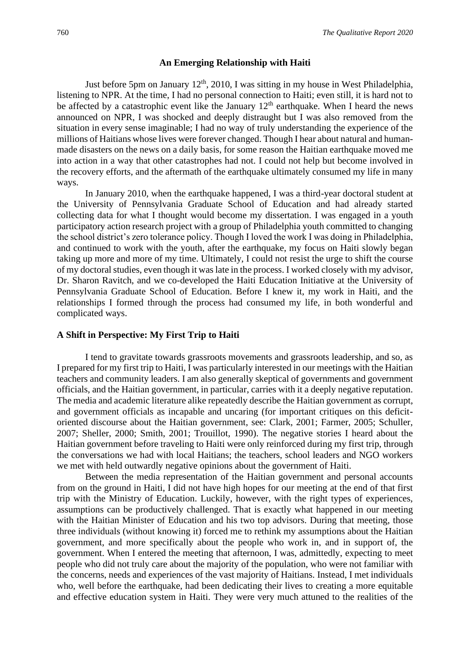#### **An Emerging Relationship with Haiti**

Just before 5pm on January  $12<sup>th</sup>$ , 2010, I was sitting in my house in West Philadelphia, listening to NPR. At the time, I had no personal connection to Haiti; even still, it is hard not to be affected by a catastrophic event like the January 12<sup>th</sup> earthquake. When I heard the news announced on NPR, I was shocked and deeply distraught but I was also removed from the situation in every sense imaginable; I had no way of truly understanding the experience of the millions of Haitians whose lives were forever changed. Though I hear about natural and humanmade disasters on the news on a daily basis, for some reason the Haitian earthquake moved me into action in a way that other catastrophes had not. I could not help but become involved in the recovery efforts, and the aftermath of the earthquake ultimately consumed my life in many ways.

In January 2010, when the earthquake happened, I was a third-year doctoral student at the University of Pennsylvania Graduate School of Education and had already started collecting data for what I thought would become my dissertation. I was engaged in a youth participatory action research project with a group of Philadelphia youth committed to changing the school district's zero tolerance policy. Though I loved the work I was doing in Philadelphia, and continued to work with the youth, after the earthquake, my focus on Haiti slowly began taking up more and more of my time. Ultimately, I could not resist the urge to shift the course of my doctoral studies, even though it was late in the process. I worked closely with my advisor, Dr. Sharon Ravitch, and we co-developed the Haiti Education Initiative at the University of Pennsylvania Graduate School of Education. Before I knew it, my work in Haiti, and the relationships I formed through the process had consumed my life, in both wonderful and complicated ways.

#### **A Shift in Perspective: My First Trip to Haiti**

I tend to gravitate towards grassroots movements and grassroots leadership, and so, as I prepared for my first trip to Haiti, I was particularly interested in our meetings with the Haitian teachers and community leaders. I am also generally skeptical of governments and government officials, and the Haitian government, in particular, carries with it a deeply negative reputation. The media and academic literature alike repeatedly describe the Haitian government as corrupt, and government officials as incapable and uncaring (for important critiques on this deficitoriented discourse about the Haitian government, see: Clark, 2001; Farmer, 2005; Schuller, 2007; Sheller, 2000; Smith, 2001; Trouillot, 1990). The negative stories I heard about the Haitian government before traveling to Haiti were only reinforced during my first trip, through the conversations we had with local Haitians; the teachers, school leaders and NGO workers we met with held outwardly negative opinions about the government of Haiti.

Between the media representation of the Haitian government and personal accounts from on the ground in Haiti, I did not have high hopes for our meeting at the end of that first trip with the Ministry of Education. Luckily, however, with the right types of experiences, assumptions can be productively challenged. That is exactly what happened in our meeting with the Haitian Minister of Education and his two top advisors. During that meeting, those three individuals (without knowing it) forced me to rethink my assumptions about the Haitian government, and more specifically about the people who work in, and in support of, the government. When I entered the meeting that afternoon, I was, admittedly, expecting to meet people who did not truly care about the majority of the population, who were not familiar with the concerns, needs and experiences of the vast majority of Haitians. Instead, I met individuals who, well before the earthquake, had been dedicating their lives to creating a more equitable and effective education system in Haiti. They were very much attuned to the realities of the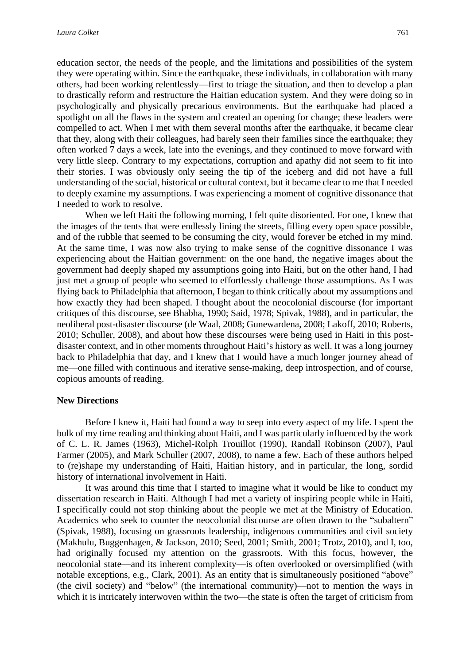education sector, the needs of the people, and the limitations and possibilities of the system they were operating within. Since the earthquake, these individuals, in collaboration with many others, had been working relentlessly—first to triage the situation, and then to develop a plan to drastically reform and restructure the Haitian education system. And they were doing so in psychologically and physically precarious environments. But the earthquake had placed a spotlight on all the flaws in the system and created an opening for change; these leaders were compelled to act. When I met with them several months after the earthquake, it became clear that they, along with their colleagues, had barely seen their families since the earthquake; they often worked 7 days a week, late into the evenings, and they continued to move forward with very little sleep. Contrary to my expectations, corruption and apathy did not seem to fit into their stories. I was obviously only seeing the tip of the iceberg and did not have a full understanding of the social, historical or cultural context, but it became clear to me that I needed to deeply examine my assumptions. I was experiencing a moment of cognitive dissonance that I needed to work to resolve.

When we left Haiti the following morning, I felt quite disoriented. For one, I knew that the images of the tents that were endlessly lining the streets, filling every open space possible, and of the rubble that seemed to be consuming the city, would forever be etched in my mind. At the same time, I was now also trying to make sense of the cognitive dissonance I was experiencing about the Haitian government: on the one hand, the negative images about the government had deeply shaped my assumptions going into Haiti, but on the other hand, I had just met a group of people who seemed to effortlessly challenge those assumptions. As I was flying back to Philadelphia that afternoon, I began to think critically about my assumptions and how exactly they had been shaped. I thought about the neocolonial discourse (for important critiques of this discourse, see Bhabha, 1990; Said, 1978; Spivak, 1988), and in particular, the neoliberal post-disaster discourse (de Waal, 2008; Gunewardena, 2008; Lakoff, 2010; Roberts, 2010; Schuller, 2008), and about how these discourses were being used in Haiti in this postdisaster context, and in other moments throughout Haiti's history as well. It was a long journey back to Philadelphia that day, and I knew that I would have a much longer journey ahead of me—one filled with continuous and iterative sense-making, deep introspection, and of course, copious amounts of reading.

#### **New Directions**

Before I knew it, Haiti had found a way to seep into every aspect of my life. I spent the bulk of my time reading and thinking about Haiti, and I was particularly influenced by the work of C. L. R. James (1963), Michel-Rolph Trouillot (1990), Randall Robinson (2007), Paul Farmer (2005), and Mark Schuller (2007, 2008), to name a few. Each of these authors helped to (re)shape my understanding of Haiti, Haitian history, and in particular, the long, sordid history of international involvement in Haiti.

It was around this time that I started to imagine what it would be like to conduct my dissertation research in Haiti. Although I had met a variety of inspiring people while in Haiti, I specifically could not stop thinking about the people we met at the Ministry of Education. Academics who seek to counter the neocolonial discourse are often drawn to the "subaltern" (Spivak, 1988), focusing on grassroots leadership, indigenous communities and civil society (Makhulu, Buggenhagen, & Jackson, 2010; Seed, 2001; Smith, 2001; Trotz, 2010), and I, too, had originally focused my attention on the grassroots. With this focus, however, the neocolonial state—and its inherent complexity—is often overlooked or oversimplified (with notable exceptions, e.g., Clark, 2001). As an entity that is simultaneously positioned "above" (the civil society) and "below" (the international community)—not to mention the ways in which it is intricately interwoven within the two—the state is often the target of criticism from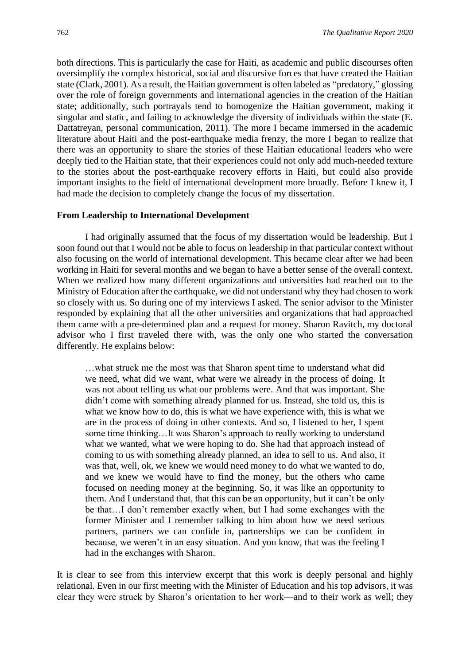both directions. This is particularly the case for Haiti, as academic and public discourses often oversimplify the complex historical, social and discursive forces that have created the Haitian state (Clark, 2001). As a result, the Haitian government is often labeled as "predatory," glossing over the role of foreign governments and international agencies in the creation of the Haitian state; additionally, such portrayals tend to homogenize the Haitian government, making it singular and static, and failing to acknowledge the diversity of individuals within the state (E. Dattatreyan, personal communication, 2011). The more I became immersed in the academic literature about Haiti and the post-earthquake media frenzy, the more I began to realize that there was an opportunity to share the stories of these Haitian educational leaders who were deeply tied to the Haitian state, that their experiences could not only add much-needed texture to the stories about the post-earthquake recovery efforts in Haiti, but could also provide important insights to the field of international development more broadly. Before I knew it, I had made the decision to completely change the focus of my dissertation.

#### **From Leadership to International Development**

I had originally assumed that the focus of my dissertation would be leadership. But I soon found out that I would not be able to focus on leadership in that particular context without also focusing on the world of international development. This became clear after we had been working in Haiti for several months and we began to have a better sense of the overall context. When we realized how many different organizations and universities had reached out to the Ministry of Education after the earthquake, we did not understand why they had chosen to work so closely with us. So during one of my interviews I asked. The senior advisor to the Minister responded by explaining that all the other universities and organizations that had approached them came with a pre-determined plan and a request for money. Sharon Ravitch, my doctoral advisor who I first traveled there with, was the only one who started the conversation differently. He explains below:

…what struck me the most was that Sharon spent time to understand what did we need, what did we want, what were we already in the process of doing. It was not about telling us what our problems were. And that was important. She didn't come with something already planned for us. Instead, she told us, this is what we know how to do, this is what we have experience with, this is what we are in the process of doing in other contexts. And so, I listened to her, I spent some time thinking…It was Sharon's approach to really working to understand what we wanted, what we were hoping to do. She had that approach instead of coming to us with something already planned, an idea to sell to us. And also, it was that, well, ok, we knew we would need money to do what we wanted to do, and we knew we would have to find the money, but the others who came focused on needing money at the beginning. So, it was like an opportunity to them. And I understand that, that this can be an opportunity, but it can't be only be that…I don't remember exactly when, but I had some exchanges with the former Minister and I remember talking to him about how we need serious partners, partners we can confide in, partnerships we can be confident in because, we weren't in an easy situation. And you know, that was the feeling I had in the exchanges with Sharon.

It is clear to see from this interview excerpt that this work is deeply personal and highly relational. Even in our first meeting with the Minister of Education and his top advisors, it was clear they were struck by Sharon's orientation to her work—and to their work as well; they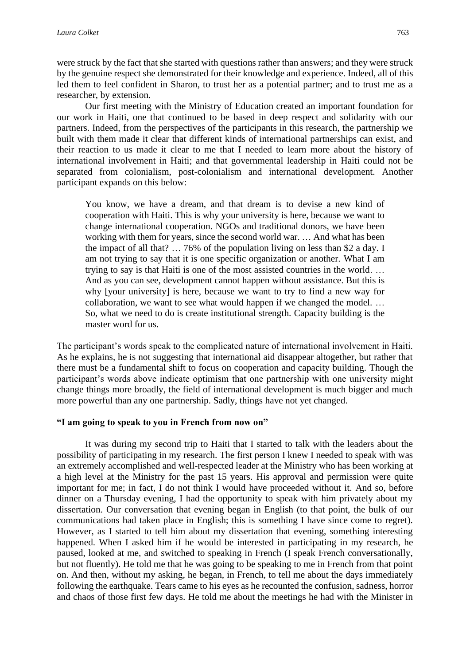were struck by the fact that she started with questions rather than answers; and they were struck by the genuine respect she demonstrated for their knowledge and experience. Indeed, all of this led them to feel confident in Sharon, to trust her as a potential partner; and to trust me as a researcher, by extension.

Our first meeting with the Ministry of Education created an important foundation for our work in Haiti, one that continued to be based in deep respect and solidarity with our partners. Indeed, from the perspectives of the participants in this research, the partnership we built with them made it clear that different kinds of international partnerships can exist, and their reaction to us made it clear to me that I needed to learn more about the history of international involvement in Haiti; and that governmental leadership in Haiti could not be separated from colonialism, post-colonialism and international development. Another participant expands on this below:

You know, we have a dream, and that dream is to devise a new kind of cooperation with Haiti. This is why your university is here, because we want to change international cooperation. NGOs and traditional donors, we have been working with them for years, since the second world war. … And what has been the impact of all that? … 76% of the population living on less than \$2 a day. I am not trying to say that it is one specific organization or another. What I am trying to say is that Haiti is one of the most assisted countries in the world. … And as you can see, development cannot happen without assistance. But this is why [your university] is here, because we want to try to find a new way for collaboration, we want to see what would happen if we changed the model. … So, what we need to do is create institutional strength. Capacity building is the master word for us.

The participant's words speak to the complicated nature of international involvement in Haiti. As he explains, he is not suggesting that international aid disappear altogether, but rather that there must be a fundamental shift to focus on cooperation and capacity building. Though the participant's words above indicate optimism that one partnership with one university might change things more broadly, the field of international development is much bigger and much more powerful than any one partnership. Sadly, things have not yet changed.

## **"I am going to speak to you in French from now on"**

It was during my second trip to Haiti that I started to talk with the leaders about the possibility of participating in my research. The first person I knew I needed to speak with was an extremely accomplished and well-respected leader at the Ministry who has been working at a high level at the Ministry for the past 15 years. His approval and permission were quite important for me; in fact, I do not think I would have proceeded without it. And so, before dinner on a Thursday evening, I had the opportunity to speak with him privately about my dissertation. Our conversation that evening began in English (to that point, the bulk of our communications had taken place in English; this is something I have since come to regret). However, as I started to tell him about my dissertation that evening, something interesting happened. When I asked him if he would be interested in participating in my research, he paused, looked at me, and switched to speaking in French (I speak French conversationally, but not fluently). He told me that he was going to be speaking to me in French from that point on. And then, without my asking, he began, in French, to tell me about the days immediately following the earthquake. Tears came to his eyes as he recounted the confusion, sadness, horror and chaos of those first few days. He told me about the meetings he had with the Minister in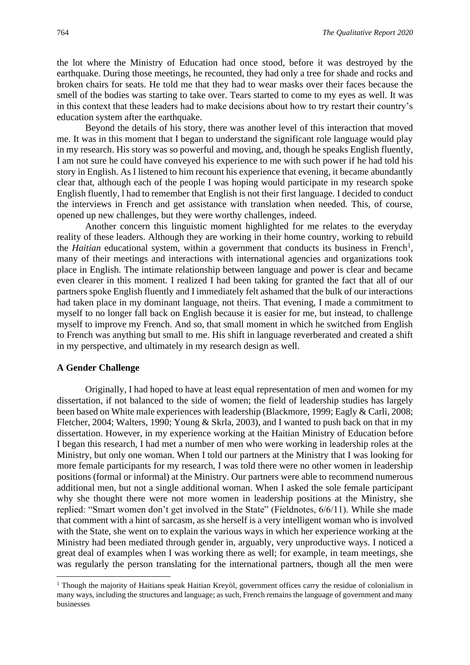the lot where the Ministry of Education had once stood, before it was destroyed by the earthquake. During those meetings, he recounted, they had only a tree for shade and rocks and broken chairs for seats. He told me that they had to wear masks over their faces because the smell of the bodies was starting to take over. Tears started to come to my eyes as well. It was in this context that these leaders had to make decisions about how to try restart their country's education system after the earthquake.

Beyond the details of his story, there was another level of this interaction that moved me. It was in this moment that I began to understand the significant role language would play in my research. His story was so powerful and moving, and, though he speaks English fluently, I am not sure he could have conveyed his experience to me with such power if he had told his story in English. As I listened to him recount his experience that evening, it became abundantly clear that, although each of the people I was hoping would participate in my research spoke English fluently, l had to remember that English is not their first language. I decided to conduct the interviews in French and get assistance with translation when needed. This, of course, opened up new challenges, but they were worthy challenges, indeed.

Another concern this linguistic moment highlighted for me relates to the everyday reality of these leaders. Although they are working in their home country, working to rebuild the *Haitian* educational system, within a government that conducts its business in French<sup>1</sup>, many of their meetings and interactions with international agencies and organizations took place in English. The intimate relationship between language and power is clear and became even clearer in this moment. I realized I had been taking for granted the fact that all of our partners spoke English fluently and I immediately felt ashamed that the bulk of our interactions had taken place in my dominant language, not theirs. That evening, I made a commitment to myself to no longer fall back on English because it is easier for me, but instead, to challenge myself to improve my French. And so, that small moment in which he switched from English to French was anything but small to me. His shift in language reverberated and created a shift in my perspective, and ultimately in my research design as well.

#### **A Gender Challenge**

Originally, I had hoped to have at least equal representation of men and women for my dissertation, if not balanced to the side of women; the field of leadership studies has largely been based on White male experiences with leadership (Blackmore, 1999; Eagly & Carli, 2008; Fletcher, 2004; Walters, 1990; Young & Skrla, 2003), and I wanted to push back on that in my dissertation. However, in my experience working at the Haitian Ministry of Education before I began this research, I had met a number of men who were working in leadership roles at the Ministry, but only one woman. When I told our partners at the Ministry that I was looking for more female participants for my research, I was told there were no other women in leadership positions (formal or informal) at the Ministry. Our partners were able to recommend numerous additional men, but not a single additional woman. When I asked the sole female participant why she thought there were not more women in leadership positions at the Ministry, she replied: "Smart women don't get involved in the State" (Fieldnotes, 6/6/11). While she made that comment with a hint of sarcasm, as she herself is a very intelligent woman who is involved with the State, she went on to explain the various ways in which her experience working at the Ministry had been mediated through gender in, arguably, very unproductive ways. I noticed a great deal of examples when I was working there as well; for example, in team meetings, she was regularly the person translating for the international partners, though all the men were

<sup>&</sup>lt;sup>1</sup> Though the majority of Haitians speak Haitian Kreyòl, government offices carry the residue of colonialism in many ways, including the structures and language; as such, French remains the language of government and many businesses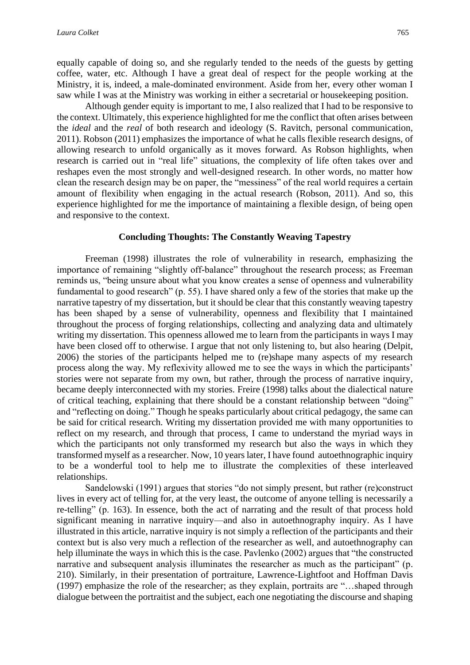equally capable of doing so, and she regularly tended to the needs of the guests by getting coffee, water, etc. Although I have a great deal of respect for the people working at the Ministry, it is, indeed, a male-dominated environment. Aside from her, every other woman I saw while I was at the Ministry was working in either a secretarial or housekeeping position.

Although gender equity is important to me, I also realized that I had to be responsive to the context. Ultimately, this experience highlighted for me the conflict that often arises between the *ideal* and the *real* of both research and ideology (S. Ravitch, personal communication, 2011). Robson (2011) emphasizes the importance of what he calls flexible research designs, of allowing research to unfold organically as it moves forward. As Robson highlights, when research is carried out in "real life" situations, the complexity of life often takes over and reshapes even the most strongly and well-designed research. In other words, no matter how clean the research design may be on paper, the "messiness" of the real world requires a certain amount of flexibility when engaging in the actual research (Robson, 2011). And so, this experience highlighted for me the importance of maintaining a flexible design, of being open and responsive to the context.

#### **Concluding Thoughts: The Constantly Weaving Tapestry**

Freeman (1998) illustrates the role of vulnerability in research, emphasizing the importance of remaining "slightly off-balance" throughout the research process; as Freeman reminds us, "being unsure about what you know creates a sense of openness and vulnerability fundamental to good research" (p. 55). I have shared only a few of the stories that make up the narrative tapestry of my dissertation, but it should be clear that this constantly weaving tapestry has been shaped by a sense of vulnerability, openness and flexibility that I maintained throughout the process of forging relationships, collecting and analyzing data and ultimately writing my dissertation. This openness allowed me to learn from the participants in ways I may have been closed off to otherwise. I argue that not only listening to, but also hearing (Delpit, 2006) the stories of the participants helped me to (re)shape many aspects of my research process along the way. My reflexivity allowed me to see the ways in which the participants' stories were not separate from my own, but rather, through the process of narrative inquiry, became deeply interconnected with my stories. Freire (1998) talks about the dialectical nature of critical teaching, explaining that there should be a constant relationship between "doing" and "reflecting on doing." Though he speaks particularly about critical pedagogy, the same can be said for critical research. Writing my dissertation provided me with many opportunities to reflect on my research, and through that process, I came to understand the myriad ways in which the participants not only transformed my research but also the ways in which they transformed myself as a researcher. Now, 10 years later, I have found autoethnographic inquiry to be a wonderful tool to help me to illustrate the complexities of these interleaved relationships.

Sandelowski (1991) argues that stories "do not simply present, but rather (re)construct lives in every act of telling for, at the very least, the outcome of anyone telling is necessarily a re-telling" (p. 163). In essence, both the act of narrating and the result of that process hold significant meaning in narrative inquiry—and also in autoethnography inquiry. As I have illustrated in this article, narrative inquiry is not simply a reflection of the participants and their context but is also very much a reflection of the researcher as well, and autoethnography can help illuminate the ways in which this is the case. Pavlenko (2002) argues that "the constructed narrative and subsequent analysis illuminates the researcher as much as the participant" (p. 210). Similarly, in their presentation of portraiture, Lawrence-Lightfoot and Hoffman Davis (1997) emphasize the role of the researcher; as they explain, portraits are "…shaped through dialogue between the portraitist and the subject, each one negotiating the discourse and shaping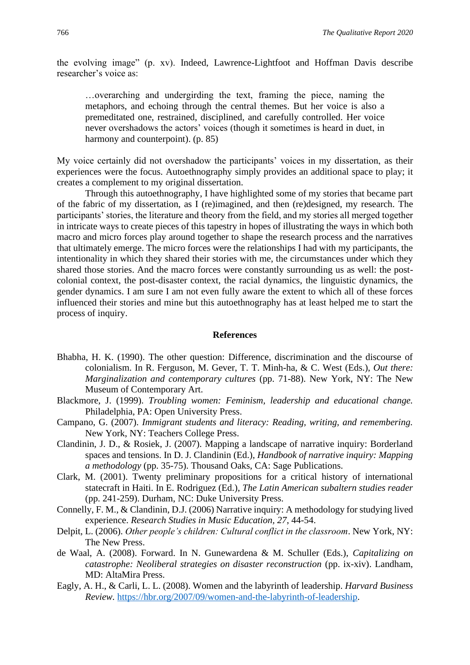the evolving image" (p. xv). Indeed, Lawrence-Lightfoot and Hoffman Davis describe researcher's voice as:

…overarching and undergirding the text, framing the piece, naming the metaphors, and echoing through the central themes. But her voice is also a premeditated one, restrained, disciplined, and carefully controlled. Her voice never overshadows the actors' voices (though it sometimes is heard in duet, in harmony and counterpoint). (p. 85)

My voice certainly did not overshadow the participants' voices in my dissertation, as their experiences were the focus. Autoethnography simply provides an additional space to play; it creates a complement to my original dissertation.

Through this autoethnography, I have highlighted some of my stories that became part of the fabric of my dissertation, as I (re)imagined, and then (re)designed, my research. The participants' stories, the literature and theory from the field, and my stories all merged together in intricate ways to create pieces of this tapestry in hopes of illustrating the ways in which both macro and micro forces play around together to shape the research process and the narratives that ultimately emerge. The micro forces were the relationships I had with my participants, the intentionality in which they shared their stories with me, the circumstances under which they shared those stories. And the macro forces were constantly surrounding us as well: the postcolonial context, the post-disaster context, the racial dynamics, the linguistic dynamics, the gender dynamics. I am sure I am not even fully aware the extent to which all of these forces influenced their stories and mine but this autoethnography has at least helped me to start the process of inquiry.

#### **References**

- Bhabha, H. K. (1990). The other question: Difference, discrimination and the discourse of colonialism. In R. Ferguson, M. Gever, T. T. Minh-ha, & C. West (Eds.), *Out there: Marginalization and contemporary cultures* (pp. 71-88). New York, NY: The New Museum of Contemporary Art.
- Blackmore, J. (1999). *Troubling women: Feminism, leadership and educational change.* Philadelphia, PA: Open University Press.
- Campano, G. (2007). *Immigrant students and literacy: Reading, writing, and remembering.* New York, NY: Teachers College Press.
- Clandinin, J. D., & Rosiek, J. (2007). Mapping a landscape of narrative inquiry: Borderland spaces and tensions. In D. J. Clandinin (Ed.), *Handbook of narrative inquiry: Mapping a methodology* (pp. 35-75). Thousand Oaks, CA: Sage Publications.
- Clark, M. (2001). Twenty preliminary propositions for a critical history of international statecraft in Haiti. In E. Rodriguez (Ed.), *The Latin American subaltern studies reader* (pp. 241-259). Durham, NC: Duke University Press.
- Connelly, F. M., & Clandinin, D.J. (2006) Narrative inquiry: A methodology for studying lived experience. *Research Studies in Music Education, 27*, 44-54.
- Delpit, L. (2006). *Other people's children: Cultural conflict in the classroom*. New York, NY: The New Press.
- de Waal, A. (2008). Forward. In N. Gunewardena & M. Schuller (Eds.), *Capitalizing on catastrophe: Neoliberal strategies on disaster reconstruction* (pp. ix-xiv). Landham, MD: AltaMira Press.
- Eagly, A. H., & Carli, L. L. (2008). Women and the labyrinth of leadership. *Harvard Business Review.* [https://hbr.org/2007/09/women-and-the-labyrinth-of-leadership.](https://hbr.org/2007/09/women-and-the-labyrinth-of-leadership)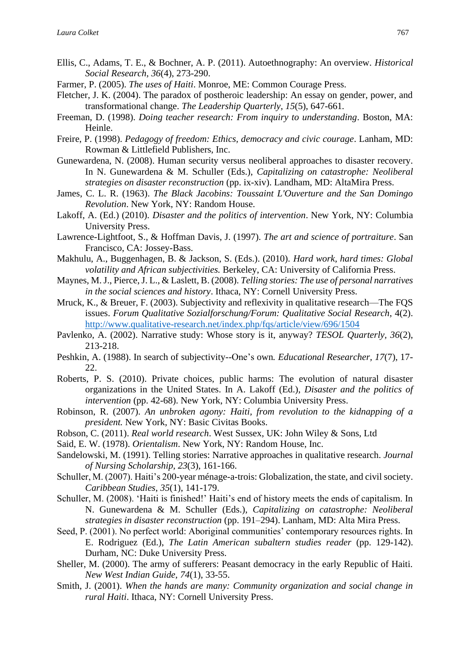- Ellis, C., Adams, T. E., & Bochner, A. P. (2011). Autoethnography: An overview. *Historical Social Research*, *36*(4), 273-290.
- Farmer, P. (2005). *The uses of Haiti*. Monroe, ME: Common Courage Press.
- Fletcher, J. K. (2004). The paradox of postheroic leadership: An essay on gender, power, and transformational change. *The Leadership Quarterly, 15*(5), 647-661*.*
- Freeman, D. (1998). *Doing teacher research: From inquiry to understanding*. Boston, MA: Heinle.
- Freire, P. (1998). *Pedagogy of freedom: Ethics, democracy and civic courage*. Lanham, MD: Rowman & Littlefield Publishers, Inc.
- Gunewardena, N. (2008). Human security versus neoliberal approaches to disaster recovery. In N. Gunewardena & M. Schuller (Eds.), *Capitalizing on catastrophe: Neoliberal strategies on disaster reconstruction* (pp. ix-xiv). Landham, MD: AltaMira Press.
- James, C. L. R. (1963). *The Black Jacobins: Toussaint L'Ouverture and the San Domingo Revolution*. New York, NY: Random House.
- Lakoff, A. (Ed.) (2010). *Disaster and the politics of intervention*. New York, NY: Columbia University Press.
- Lawrence-Lightfoot, S., & Hoffman Davis, J. (1997). *The art and science of portraiture*. San Francisco, CA: Jossey-Bass.
- Makhulu, A., Buggenhagen, B. & Jackson, S. (Eds.). (2010). *Hard work, hard times: Global volatility and African subjectivities.* Berkeley, CA: University of California Press.
- Maynes, M. J., Pierce, J. L., & Laslett, B. (2008). *Telling stories: The use of personal narratives in the social sciences and history*. Ithaca, NY: Cornell University Press.
- Mruck, K., & Breuer, F. (2003). Subjectivity and reflexivity in qualitative research—The FQS issues. *Forum Qualitative Sozialforschung/Forum: Qualitative Social Research*, 4(2). <http://www.qualitative-research.net/index.php/fqs/article/view/696/1504>
- Pavlenko, A. (2002). Narrative study: Whose story is it, anyway? *TESOL Quarterly, 36*(2), 213-218.
- Peshkin, A. (1988). In search of subjectivity--One's own*. Educational Researcher, 17*(7), 17- 22.
- Roberts, P. S. (2010). Private choices, public harms: The evolution of natural disaster organizations in the United States. In A. Lakoff (Ed.), *Disaster and the politics of intervention* (pp. 42-68). New York, NY: Columbia University Press.
- Robinson, R. (2007). *An unbroken agony: Haiti, from revolution to the kidnapping of a president.* New York, NY: Basic Civitas Books.
- Robson, C. (2011). *Real world research*. West Sussex, UK: John Wiley & Sons, Ltd
- Said, E. W. (1978). *Orientalism*. New York, NY: Random House, Inc.
- Sandelowski, M. (1991). Telling stories: Narrative approaches in qualitative research. *Journal of Nursing Scholarship, 23*(3), 161-166.
- Schuller, M. (2007). Haiti's 200-year ménage-a-trois: Globalization, the state, and civil society. *Caribbean Studies*, *35*(1), 141-179.
- Schuller, M. (2008). 'Haiti is finished!' Haiti's end of history meets the ends of capitalism. In N. Gunewardena & M. Schuller (Eds.), *Capitalizing on catastrophe: Neoliberal strategies in disaster reconstruction* (pp. 191–294). Lanham, MD: Alta Mira Press.
- Seed, P. (2001). No perfect world: Aboriginal communities' contemporary resources rights. In E. Rodriguez (Ed.), *The Latin American subaltern studies reader* (pp. 129-142). Durham, NC: Duke University Press.
- Sheller, M. (2000). The army of sufferers: Peasant democracy in the early Republic of Haiti. *New West Indian Guide, 74*(1), 33-55.
- Smith, J. (2001). *When the hands are many: Community organization and social change in rural Haiti*. Ithaca, NY: Cornell University Press.